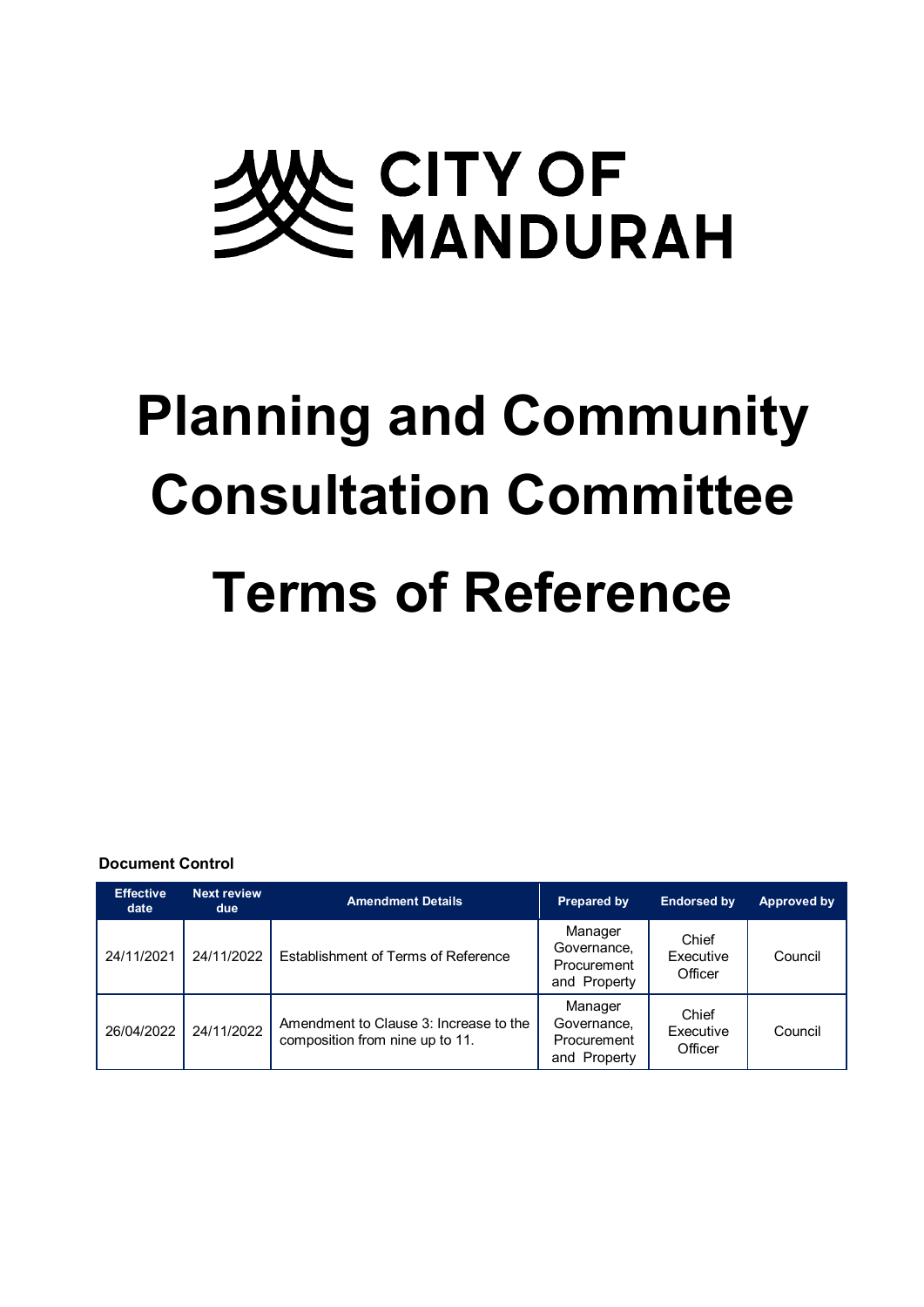# A CITY OF<br>E MANDURAH

# **Planning and Community Consultation Committee Terms of Reference**

### **Document Control**

| <b>Effective</b><br>date | <b>Next review</b><br>due | <b>Amendment Details</b>                                                  | Prepared by                                           | <b>Endorsed by</b>            | Approved by |
|--------------------------|---------------------------|---------------------------------------------------------------------------|-------------------------------------------------------|-------------------------------|-------------|
| 24/11/2021               | 24/11/2022                | Establishment of Terms of Reference                                       | Manager<br>Governance.<br>Procurement<br>and Property | Chief<br>Executive<br>Officer | Council     |
| 26/04/2022               | 24/11/2022                | Amendment to Clause 3: Increase to the<br>composition from nine up to 11. | Manager<br>Governance,<br>Procurement<br>and Property | Chief<br>Executive<br>Officer | Council     |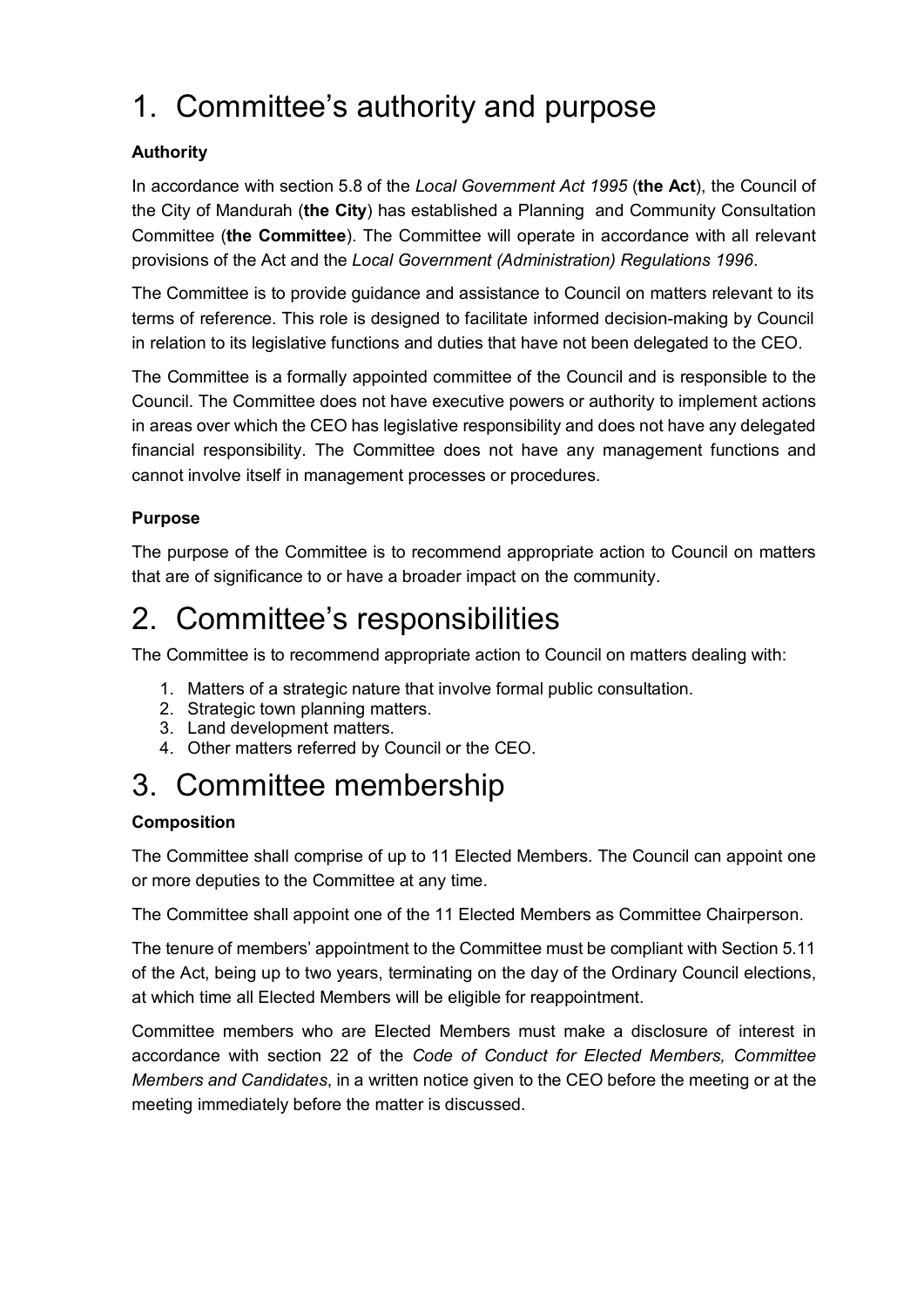# 1. Committee's authority and purpose

# **Authority**

In accordance with section 5.8 of the *Local Government Act 1995* (**the Act**), the Council of the City of Mandurah (**the City**) has established a Planning and Community Consultation Committee (**the Committee**). The Committee will operate in accordance with all relevant provisions of the Act and the *Local Government (Administration) Regulations 1996*.

The Committee is to provide guidance and assistance to Council on matters relevant to its terms of reference. This role is designed to facilitate informed decision-making by Council in relation to its legislative functions and duties that have not been delegated to the CEO.

The Committee is a formally appointed committee of the Council and is responsible to the Council. The Committee does not have executive powers or authority to implement actions in areas over which the CEO has legislative responsibility and does not have any delegated financial responsibility. The Committee does not have any management functions and cannot involve itself in management processes or procedures.

# **Purpose**

The purpose of the Committee is to recommend appropriate action to Council on matters that are of significance to or have a broader impact on the community.

# 2. Committee's responsibilities

The Committee is to recommend appropriate action to Council on matters dealing with:

- 1. Matters of a strategic nature that involve formal public consultation.
- 2. Strategic town planning matters.
- 3. Land development matters.
- 4. Other matters referred by Council or the CEO.

# 3. Committee membership

# **Composition**

The Committee shall comprise of up to 11 Elected Members. The Council can appoint one or more deputies to the Committee at any time.

The Committee shall appoint one of the 11 Elected Members as Committee Chairperson.

The tenure of members' appointment to the Committee must be compliant with Section 5.11 of the Act, being up to two years, terminating on the day of the Ordinary Council elections, at which time all Elected Members will be eligible for reappointment.

Committee members who are Elected Members must make a disclosure of interest in accordance with section 22 of the *Code of Conduct for Elected Members, Committee Members and Candidates*, in a written notice given to the CEO before the meeting or at the meeting immediately before the matter is discussed.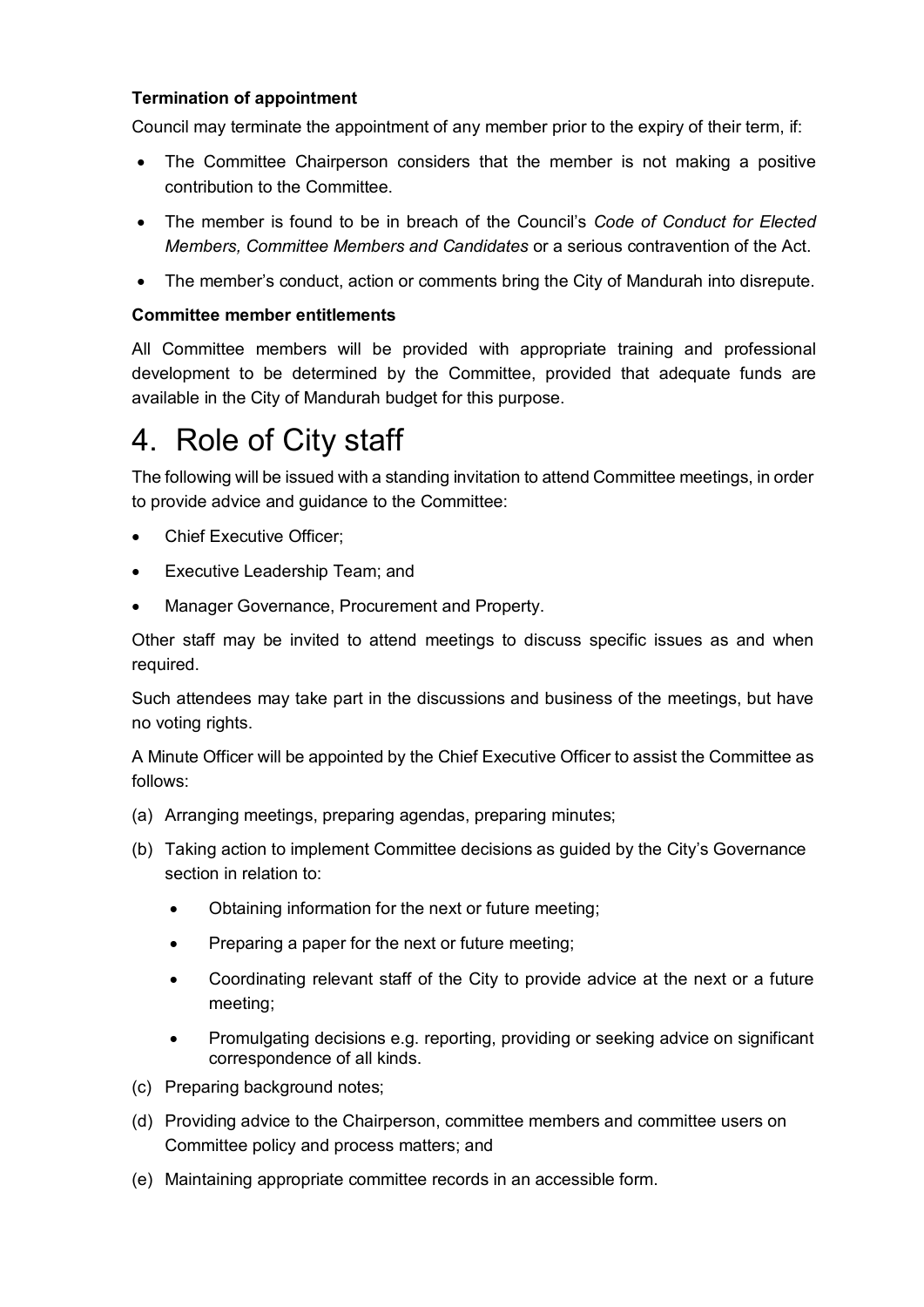# **Termination of appointment**

Council may terminate the appointment of any member prior to the expiry of their term, if:

- The Committee Chairperson considers that the member is not making a positive contribution to the Committee.
- The member is found to be in breach of the Council's *Code of Conduct for Elected Members, Committee Members and Candidates* or a serious contravention of the Act.
- The member's conduct, action or comments bring the City of Mandurah into disrepute.

### **Committee member entitlements**

All Committee members will be provided with appropriate training and professional development to be determined by the Committee, provided that adequate funds are available in the City of Mandurah budget for this purpose.

# 4. Role of City staff

The following will be issued with a standing invitation to attend Committee meetings, in order to provide advice and guidance to the Committee:

- Chief Executive Officer;
- Executive Leadership Team; and
- Manager Governance, Procurement and Property.

Other staff may be invited to attend meetings to discuss specific issues as and when required.

Such attendees may take part in the discussions and business of the meetings, but have no voting rights.

A Minute Officer will be appointed by the Chief Executive Officer to assist the Committee as follows:

- (a) Arranging meetings, preparing agendas, preparing minutes;
- (b) Taking action to implement Committee decisions as guided by the City's Governance section in relation to:
	- Obtaining information for the next or future meeting;
	- Preparing a paper for the next or future meeting;
	- Coordinating relevant staff of the City to provide advice at the next or a future meeting;
	- Promulgating decisions e.g. reporting, providing or seeking advice on significant correspondence of all kinds.
- (c) Preparing background notes;
- (d) Providing advice to the Chairperson, committee members and committee users on Committee policy and process matters; and
- (e) Maintaining appropriate committee records in an accessible form.